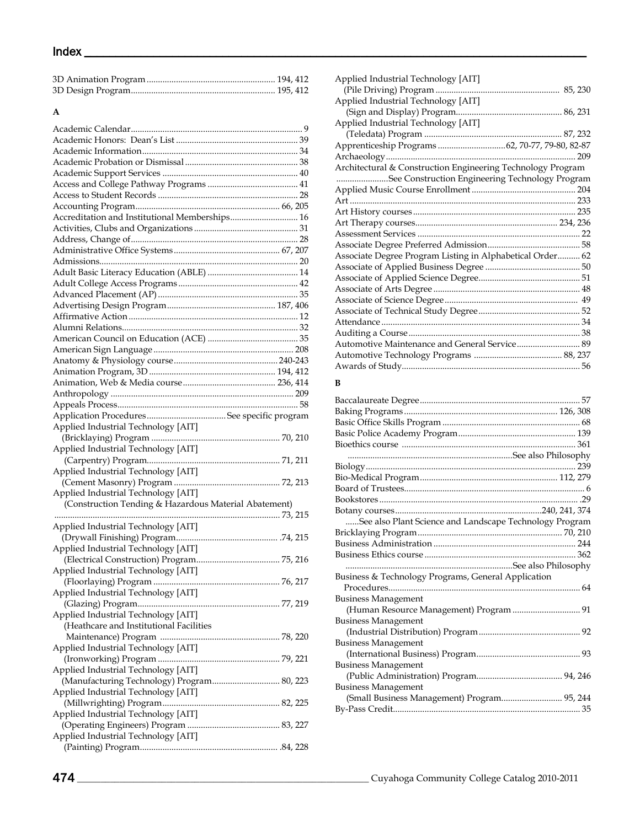# $Index \fbox{1}$

## **A**

| Accreditation and Institutional Memberships 16        |  |
|-------------------------------------------------------|--|
|                                                       |  |
|                                                       |  |
|                                                       |  |
|                                                       |  |
|                                                       |  |
|                                                       |  |
|                                                       |  |
|                                                       |  |
|                                                       |  |
|                                                       |  |
|                                                       |  |
|                                                       |  |
|                                                       |  |
|                                                       |  |
|                                                       |  |
|                                                       |  |
|                                                       |  |
|                                                       |  |
| Applied Industrial Technology [AIT]                   |  |
|                                                       |  |
| Applied Industrial Technology [AIT]                   |  |
|                                                       |  |
| Applied Industrial Technology [AIT]                   |  |
|                                                       |  |
| Applied Industrial Technology [AIT]                   |  |
| (Construction Tending & Hazardous Material Abatement) |  |
|                                                       |  |
| Applied Industrial Technology [AIT]                   |  |
|                                                       |  |
| Applied Industrial Technology [AIT]                   |  |
|                                                       |  |
| Applied Industrial Technology [AIT]                   |  |
|                                                       |  |
| Applied Industrial Technology [AIT]                   |  |
|                                                       |  |
| Applied Industrial Technology [AIT]                   |  |
| (Heathcare and Institutional Facilities               |  |
|                                                       |  |
| Applied Industrial Technology [AIT]                   |  |
|                                                       |  |
| Applied Industrial Technology [AIT]                   |  |
| (Manufacturing Technology) Program 80, 223            |  |
| Applied Industrial Technology [AIT]                   |  |
|                                                       |  |
| Applied Industrial Technology [AIT]                   |  |
| Applied Industrial Technology [AIT]                   |  |
|                                                       |  |
|                                                       |  |

| Applied Industrial Technology [AIT]                         |
|-------------------------------------------------------------|
|                                                             |
| Applied Industrial Technology [AIT]                         |
|                                                             |
| Applied Industrial Technology [AIT]                         |
|                                                             |
|                                                             |
| $\dots 209$                                                 |
| Architectural & Construction Engineering Technology Program |
| See Construction Engineering Technology Program             |
|                                                             |
|                                                             |
|                                                             |
|                                                             |
|                                                             |
|                                                             |
| Associate Degree Program Listing in Alphabetical Order 62   |
|                                                             |
|                                                             |
|                                                             |
|                                                             |
|                                                             |
|                                                             |
|                                                             |
| Automotive Maintenance and General Service 89               |
|                                                             |
|                                                             |

## **B**

| See also Plant Science and Landscape Technology Program |  |
|---------------------------------------------------------|--|
|                                                         |  |
|                                                         |  |
|                                                         |  |
|                                                         |  |
| Business & Technology Programs, General Application     |  |
|                                                         |  |
| <b>Business Management</b>                              |  |
| (Human Resource Management) Program  91                 |  |
| <b>Business Management</b>                              |  |
|                                                         |  |
| <b>Business Management</b>                              |  |
|                                                         |  |
| <b>Business Management</b>                              |  |
|                                                         |  |
| <b>Business Management</b>                              |  |
| (Small Business Management) Program 95, 244             |  |
|                                                         |  |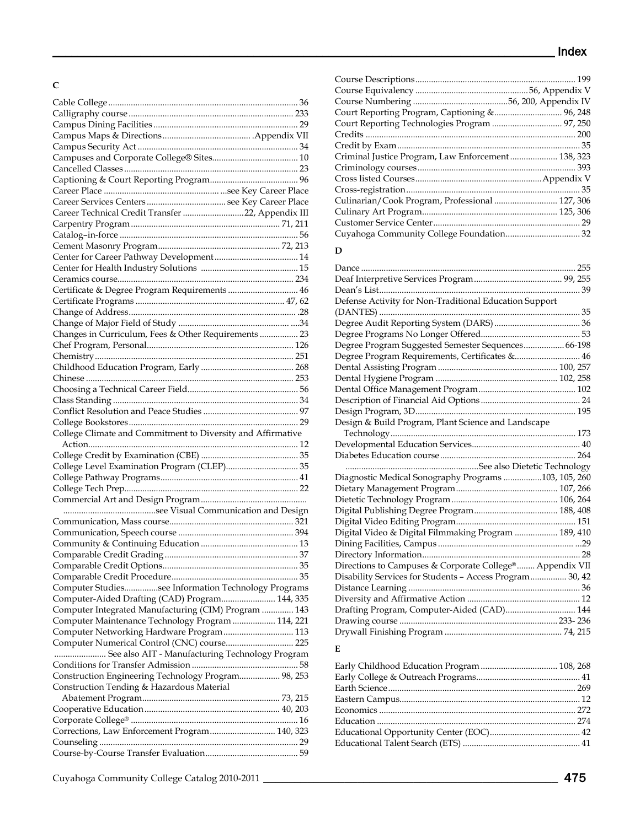# **C**

| Career Technical Credit Transfer 22, Appendix III           |  |
|-------------------------------------------------------------|--|
|                                                             |  |
|                                                             |  |
|                                                             |  |
|                                                             |  |
|                                                             |  |
|                                                             |  |
| Certificate & Degree Program Requirements  46               |  |
|                                                             |  |
|                                                             |  |
|                                                             |  |
| Changes in Curriculum, Fees & Other Requirements  23        |  |
|                                                             |  |
|                                                             |  |
|                                                             |  |
|                                                             |  |
|                                                             |  |
|                                                             |  |
|                                                             |  |
|                                                             |  |
|                                                             |  |
|                                                             |  |
| College Climate and Commitment to Diversity and Affirmative |  |
|                                                             |  |
|                                                             |  |
| College Level Examination Program (CLEP) 35                 |  |
|                                                             |  |
|                                                             |  |
|                                                             |  |
|                                                             |  |
|                                                             |  |
|                                                             |  |
|                                                             |  |
|                                                             |  |
|                                                             |  |
|                                                             |  |
|                                                             |  |
| Computer Studiessee Information Technology Programs         |  |
| Computer-Aided Drafting (CAD) Program 144, 335              |  |
| Computer Integrated Manufacturing (CIM) Program  143        |  |
| Computer Maintenance Technology Program  114, 221           |  |
| Computer Networking Hardware Program 113                    |  |
| Computer Numerical Control (CNC) course 225                 |  |
| See also AIT - Manufacturing Technology Program             |  |
|                                                             |  |
| Construction Engineering Technology Program 98, 253         |  |
| Construction Tending & Hazardous Material                   |  |
|                                                             |  |
|                                                             |  |
|                                                             |  |
| Corrections, Law Enforcement Program 140, 323               |  |
|                                                             |  |

| Court Reporting Technologies Program  97, 250      |    |
|----------------------------------------------------|----|
|                                                    |    |
|                                                    |    |
| Criminal Justice Program, Law Enforcement 138, 323 |    |
|                                                    |    |
|                                                    |    |
|                                                    |    |
| Culinarian/Cook Program, Professional  127, 306    |    |
|                                                    |    |
|                                                    | 29 |
|                                                    |    |
|                                                    |    |

#### **D**

| Defense Activity for Non-Traditional Education Support   |  |
|----------------------------------------------------------|--|
|                                                          |  |
|                                                          |  |
|                                                          |  |
| Degree Program Suggested Semester Sequences 66-198       |  |
| Degree Program Requirements, Certificates & 46           |  |
|                                                          |  |
|                                                          |  |
|                                                          |  |
|                                                          |  |
|                                                          |  |
| Design & Build Program, Plant Science and Landscape      |  |
|                                                          |  |
|                                                          |  |
|                                                          |  |
|                                                          |  |
| Diagnostic Medical Sonography Programs 103, 105, 260     |  |
|                                                          |  |
|                                                          |  |
|                                                          |  |
|                                                          |  |
| Digital Video & Digital Filmmaking Program  189, 410     |  |
|                                                          |  |
|                                                          |  |
| Directions to Campuses & Corporate College® Appendix VII |  |
| Disability Services for Students - Access Program 30, 42 |  |
|                                                          |  |
|                                                          |  |
| Drafting Program, Computer-Aided (CAD) 144               |  |
|                                                          |  |
|                                                          |  |
|                                                          |  |

## **E**

| Early Childhood Education Program  108, 268 |  |
|---------------------------------------------|--|
|                                             |  |
|                                             |  |
|                                             |  |
|                                             |  |
|                                             |  |
|                                             |  |
|                                             |  |
|                                             |  |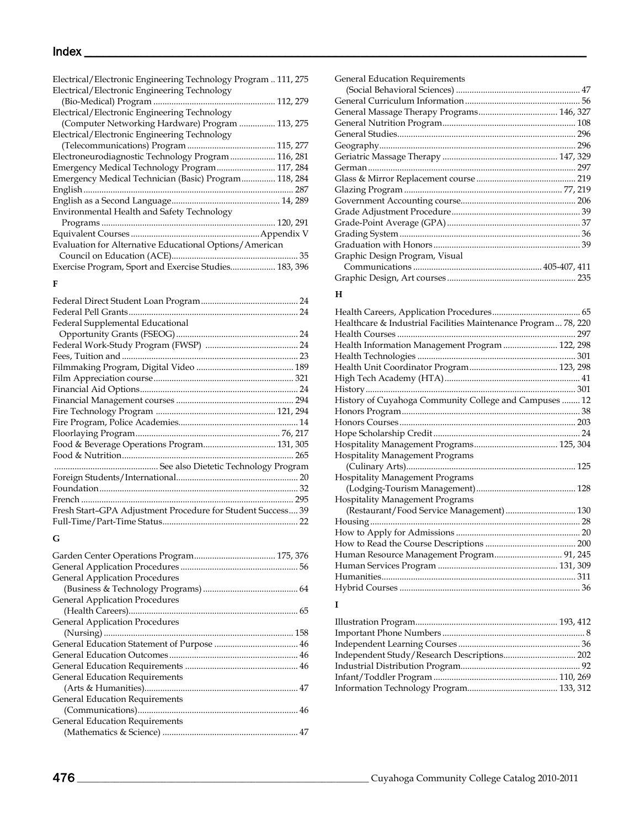# $Index \begin{array}{|l|l|} \hline \end{array}$

| Electrical/Electronic Engineering Technology Program  111, 275 |
|----------------------------------------------------------------|
| Electrical/Electronic Engineering Technology                   |
|                                                                |
| Electrical/Electronic Engineering Technology                   |
| (Computer Networking Hardware) Program  113, 275               |
| Electrical/Electronic Engineering Technology                   |
|                                                                |
| Electroneurodiagnostic Technology Program 116, 281             |
| Emergency Medical Technology Program 117, 284                  |
| Emergency Medical Technician (Basic) Program 118, 284          |
|                                                                |
|                                                                |
| Environmental Health and Safety Technology                     |
|                                                                |
|                                                                |
| Evaluation for Alternative Educational Options/American        |
|                                                                |
| Exercise Program, Sport and Exercise Studies 183, 396          |
| п.                                                             |

## **F**

|                                                             | 24 |
|-------------------------------------------------------------|----|
|                                                             |    |
| Federal Supplemental Educational                            |    |
|                                                             |    |
|                                                             |    |
|                                                             |    |
|                                                             |    |
|                                                             |    |
|                                                             |    |
|                                                             |    |
|                                                             |    |
|                                                             |    |
|                                                             |    |
|                                                             |    |
|                                                             |    |
|                                                             |    |
|                                                             |    |
|                                                             |    |
|                                                             |    |
| Fresh Start-GPA Adjustment Procedure for Student Success 39 |    |
|                                                             |    |
|                                                             |    |

## **G**

| <b>General Application Procedures</b> |  |
|---------------------------------------|--|
|                                       |  |
| <b>General Application Procedures</b> |  |
|                                       |  |
| <b>General Application Procedures</b> |  |
|                                       |  |
|                                       |  |
|                                       |  |
|                                       |  |
| <b>General Education Requirements</b> |  |
|                                       |  |
| <b>General Education Requirements</b> |  |
|                                       |  |
| General Education Requirements        |  |
|                                       |  |

| <b>General Education Requirements</b> |  |
|---------------------------------------|--|
|                                       |  |
|                                       |  |
|                                       |  |
|                                       |  |
|                                       |  |
|                                       |  |
|                                       |  |
|                                       |  |
|                                       |  |
|                                       |  |
|                                       |  |
|                                       |  |
|                                       |  |
|                                       |  |
|                                       |  |
| Graphic Design Program, Visual        |  |
|                                       |  |
|                                       |  |
| Н                                     |  |

## **H**

| Healthcare & Industrial Facilities Maintenance Program 78, 220 |  |
|----------------------------------------------------------------|--|
|                                                                |  |
| Health Information Management Program  122, 298                |  |
|                                                                |  |
|                                                                |  |
|                                                                |  |
|                                                                |  |
| History of Cuyahoga Community College and Campuses  12         |  |
|                                                                |  |
|                                                                |  |
|                                                                |  |
|                                                                |  |
| <b>Hospitality Management Programs</b>                         |  |
|                                                                |  |
| <b>Hospitality Management Programs</b>                         |  |
|                                                                |  |
| <b>Hospitality Management Programs</b>                         |  |
| (Restaurant/Food Service Management) 130                       |  |
|                                                                |  |
|                                                                |  |
|                                                                |  |
| Human Resource Management Program 91, 245                      |  |
|                                                                |  |
|                                                                |  |
|                                                                |  |
|                                                                |  |

## **I**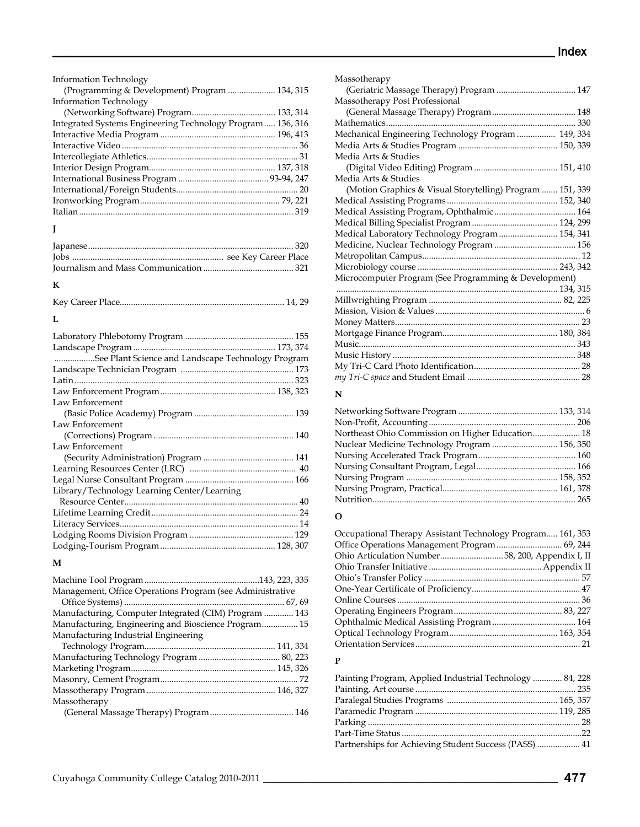| <b>Information Technology</b>                              |
|------------------------------------------------------------|
| (Programming & Development) Program  134, 315              |
| Information Technology                                     |
|                                                            |
| Integrated Systems Engineering Technology Program 136, 316 |
|                                                            |
|                                                            |
|                                                            |
|                                                            |
|                                                            |
|                                                            |
|                                                            |
|                                                            |

# **J**

## **K**

# **L**

| See Plant Science and Landscape Technology Program |  |
|----------------------------------------------------|--|
|                                                    |  |
|                                                    |  |
|                                                    |  |
| Law Enforcement                                    |  |
|                                                    |  |
| Law Enforcement                                    |  |
|                                                    |  |
| Law Enforcement                                    |  |
|                                                    |  |
|                                                    |  |
|                                                    |  |
| Library/Technology Learning Center/Learning        |  |
|                                                    |  |
|                                                    |  |
|                                                    |  |
|                                                    |  |
|                                                    |  |

## **M**

| Management, Office Operations Program (see Administrative |
|-----------------------------------------------------------|
|                                                           |
| Manufacturing, Computer Integrated (CIM) Program  143     |
| Manufacturing, Engineering and Bioscience Program 15      |
|                                                           |
|                                                           |
|                                                           |
|                                                           |
|                                                           |
|                                                           |
|                                                           |
|                                                           |
|                                                           |

| Massotherapy                                              |  |
|-----------------------------------------------------------|--|
| (Geriatric Massage Therapy) Program  147                  |  |
| Massotherapy Post Professional                            |  |
|                                                           |  |
|                                                           |  |
| Mechanical Engineering Technology Program  149, 334       |  |
|                                                           |  |
| Media Arts & Studies                                      |  |
|                                                           |  |
| Media Arts & Studies                                      |  |
| (Motion Graphics & Visual Storytelling) Program  151, 339 |  |
|                                                           |  |
|                                                           |  |
|                                                           |  |
| Medical Laboratory Technology Program  154, 341           |  |
|                                                           |  |
|                                                           |  |
|                                                           |  |
| Microcomputer Program (See Programming & Development)     |  |
|                                                           |  |
|                                                           |  |
|                                                           |  |
|                                                           |  |
|                                                           |  |
|                                                           |  |
|                                                           |  |
|                                                           |  |
|                                                           |  |
|                                                           |  |

#### **N**

| Northeast Ohio Commission on Higher Education 18 |  |
|--------------------------------------------------|--|
| Nuclear Medicine Technology Program  156, 350    |  |
|                                                  |  |
|                                                  |  |
|                                                  |  |
|                                                  |  |
|                                                  |  |
|                                                  |  |

# **O**

| Occupational Therapy Assistant Technology Program 161, 353 |
|------------------------------------------------------------|
|                                                            |
|                                                            |
| Ohio Articulation Number58, 200, Appendix I, II            |
|                                                            |
|                                                            |
|                                                            |
|                                                            |
|                                                            |
|                                                            |
|                                                            |
|                                                            |

#### **P**

| Painting Program, Applied Industrial Technology  84, 228 |  |
|----------------------------------------------------------|--|
|                                                          |  |
|                                                          |  |
|                                                          |  |
|                                                          |  |
|                                                          |  |
| Partnerships for Achieving Student Success (PASS)  41    |  |
|                                                          |  |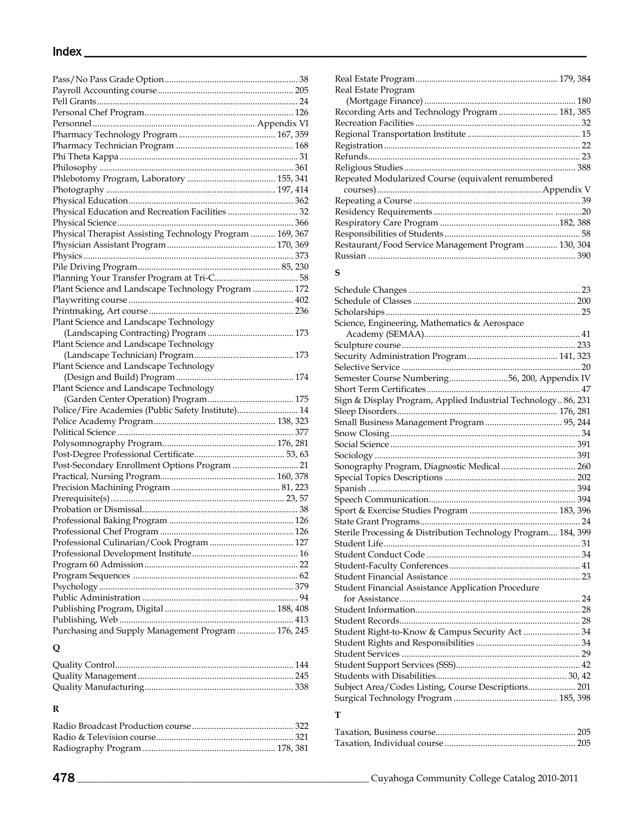| Physical Education and Recreation Facilities  32          |  |
|-----------------------------------------------------------|--|
|                                                           |  |
| Physical Therapist Assisting Technology Program  169, 367 |  |
|                                                           |  |
|                                                           |  |
|                                                           |  |
|                                                           |  |
| Plant Science and Landscape Technology Program  172       |  |
|                                                           |  |
|                                                           |  |
| Plant Science and Landscape Technology                    |  |
|                                                           |  |
| Plant Science and Landscape Technology                    |  |
|                                                           |  |
| Plant Science and Landscape Technology                    |  |
|                                                           |  |
| Plant Science and Landscape Technology                    |  |
|                                                           |  |
| Police/Fire Academies (Public Safety Institute) 14        |  |
|                                                           |  |
|                                                           |  |
|                                                           |  |
|                                                           |  |
|                                                           |  |
| Post-Secondary Enrollment Options Program  21             |  |
|                                                           |  |
|                                                           |  |
|                                                           |  |
|                                                           |  |
|                                                           |  |
|                                                           |  |
|                                                           |  |
|                                                           |  |
|                                                           |  |
|                                                           |  |
|                                                           |  |
|                                                           |  |
|                                                           |  |
|                                                           |  |
| Purchasing and Supply Management Program  176, 245        |  |

## **Q**

## **R**

#### Radio Broadcast Production course............................................. 322 Radio & Television course............................................................. 321 Radiography Program........................................................... 178, 381

| Real Estate Program                                  |  |
|------------------------------------------------------|--|
|                                                      |  |
| Recording Arts and Technology Program  181, 385      |  |
|                                                      |  |
|                                                      |  |
|                                                      |  |
|                                                      |  |
|                                                      |  |
| Repeated Modularized Course (equivalent renumbered   |  |
|                                                      |  |
|                                                      |  |
|                                                      |  |
|                                                      |  |
|                                                      |  |
| Restaurant/Food Service Management Program  130, 304 |  |
|                                                      |  |

#### **S**

| Science, Engineering, Mathematics & Aerospace                 |  |
|---------------------------------------------------------------|--|
|                                                               |  |
|                                                               |  |
|                                                               |  |
|                                                               |  |
| Semester Course Numbering56, 200, Appendix IV                 |  |
|                                                               |  |
| Sign & Display Program, Applied Industrial Technology 86, 231 |  |
|                                                               |  |
| Small Business Management Program  95, 244                    |  |
|                                                               |  |
|                                                               |  |
|                                                               |  |
| Sonography Program, Diagnostic Medical  260                   |  |
|                                                               |  |
|                                                               |  |
|                                                               |  |
|                                                               |  |
|                                                               |  |
| Sterile Processing & Distribution Technology Program 184, 399 |  |
|                                                               |  |
|                                                               |  |
|                                                               |  |
|                                                               |  |
| Student Financial Assistance Application Procedure            |  |
|                                                               |  |
|                                                               |  |
|                                                               |  |
| Student Right-to-Know & Campus Security Act  34               |  |
|                                                               |  |
|                                                               |  |
|                                                               |  |
|                                                               |  |
| Subject Area/Codes Listing, Course Descriptions 201           |  |
|                                                               |  |
|                                                               |  |

## **T**